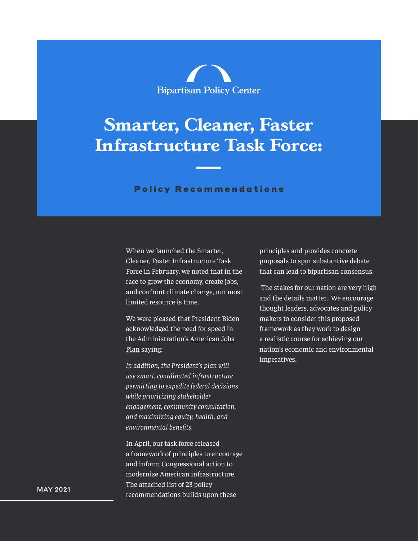

# **Smarter, Cleaner, Faster Infrastructure Task Force:**

#### Policy Recommendations

When we launched the Smarter, Cleaner, Faster Infrastructure Task Force in February, we noted that in the race to grow the economy, create jobs, and confront climate change, our most limited resource is time.

We were pleased that President Biden acknowledged the need for speed in the Administration's [American Jobs](https://nam12.safelinks.protection.outlook.com/?url=https%3A%2F%2Fwww.whitehouse.gov%2Fbriefing-room%2Fstatements-releases%2F2021%2F03%2F31%2Ffact-sheet-the-american-jobs-plan%2F&data=04%7C01%7CXfishman%40bipartisanpolicy.org%7C9769f34fd81d4ab93dbb08d91147a7a2%7Cded18c87778b4b98962e994cc2278437%7C0%7C0%7C637559821733184248%7CUnknown%7CTWFpbGZsb3d8eyJWIjoiMC4wLjAwMDAiLCJQIjoiV2luMzIiLCJBTiI6Ik1haWwiLCJXVCI6Mn0%3D%7C1000&sdata=PJnh6ceHt9wqk9%2F3scu3gq7jJcFUfSond7CbnTVnCLg%3D&reserved=0)  [Plan](https://nam12.safelinks.protection.outlook.com/?url=https%3A%2F%2Fwww.whitehouse.gov%2Fbriefing-room%2Fstatements-releases%2F2021%2F03%2F31%2Ffact-sheet-the-american-jobs-plan%2F&data=04%7C01%7CXfishman%40bipartisanpolicy.org%7C9769f34fd81d4ab93dbb08d91147a7a2%7Cded18c87778b4b98962e994cc2278437%7C0%7C0%7C637559821733184248%7CUnknown%7CTWFpbGZsb3d8eyJWIjoiMC4wLjAwMDAiLCJQIjoiV2luMzIiLCJBTiI6Ik1haWwiLCJXVCI6Mn0%3D%7C1000&sdata=PJnh6ceHt9wqk9%2F3scu3gq7jJcFUfSond7CbnTVnCLg%3D&reserved=0) saying:

*In addition, the President's plan will use smart, coordinated infrastructure permitting to expedite federal decisions while prioritizing stakeholder engagement, community consultation, and maximizing equity, health, and environmental benefits.*

In April, our task force released a framework of principles to encourage and inform Congressional action to modernize American infrastructure. The attached list of 23 policy recommendations builds upon these

principles and provides concrete proposals to spur substantive debate that can lead to bipartisan consensus.

 The stakes for our nation are very high and the details matter. We encourage thought leaders, advocates and policy makers to consider this proposed framework as they work to design a realistic course for achieving our nation's economic and environmental imperatives.

MAY 2021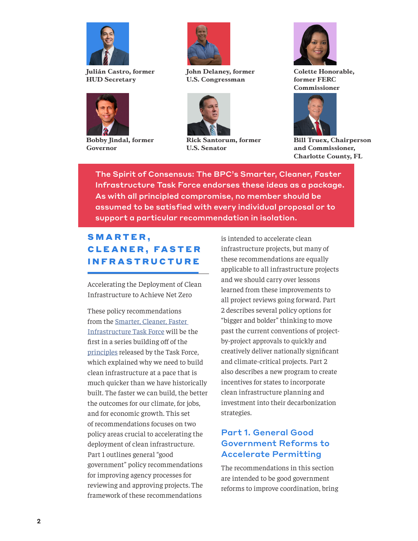

**Julián Castro, former HUD Secretary** 



**Bobby Jindal, former Governor**



**John Delaney, former U.S. Congressman**



**Rick Santorum, former U.S. Senator**



**Colette Honorable, former FERC Commissioner**



**Bill Truex, Chairperson and Commissioner, Charlotte County, FL**

The Spirit of Consensus: The BPC's Smarter, Cleaner, Faster Infrastructure Task Force endorses these ideas as a package. As with all principled compromise, no member should be assumed to be satisfied with every individual proposal or to support a particular recommendation in isolation.

# SMARTER, **CLEANER, FASTER** INFRASTRUCTURE

Accelerating the Deployment of Clean Infrastructure to Achieve Net Zero

These policy recommendations from the [Smarter, Cleaner, Faster](https://bipartisanpolicy.org/cleaner-smarter-faster-task-force/)  [Infrastructure Task Force](https://bipartisanpolicy.org/cleaner-smarter-faster-task-force/) will be the first in a series building off of the [principles](https://bipartisanpolicy.org/blog/smarter-cleaner-faster-infrastructure/) released by the Task Force, which explained why we need to build clean infrastructure at a pace that is much quicker than we have historically built. The faster we can build, the better the outcomes for our climate, for jobs, and for economic growth. This set of recommendations focuses on two policy areas crucial to accelerating the deployment of clean infrastructure. Part 1 outlines general "good government" policy recommendations for improving agency processes for reviewing and approving projects. The framework of these recommendations

is intended to accelerate clean infrastructure projects, but many of these recommendations are equally applicable to all infrastructure projects and we should carry over lessons learned from these improvements to all project reviews going forward. Part 2 describes several policy options for "bigger and bolder" thinking to move past the current conventions of projectby-project approvals to quickly and creatively deliver nationally significant and climate-critical projects. Part 2 also describes a new program to create incentives for states to incorporate clean infrastructure planning and investment into their decarbonization strategies.

# Part 1. General Good Government Reforms to Accelerate Permitting

The recommendations in this section are intended to be good government reforms to improve coordination, bring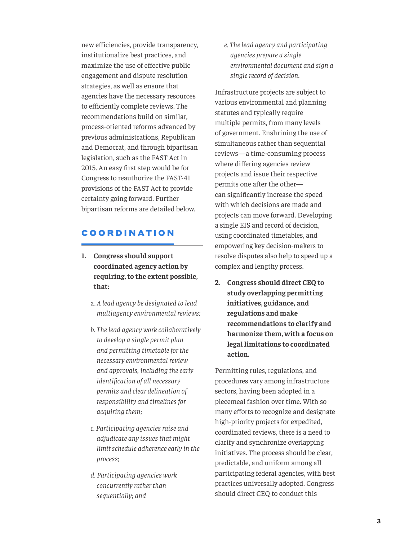new efficiencies, provide transparency, institutionalize best practices, and maximize the use of effective public engagement and dispute resolution strategies, as well as ensure that agencies have the necessary resources to efficiently complete reviews. The recommendations build on similar, process-oriented reforms advanced by previous administrations, Republican and Democrat, and through bipartisan legislation, such as the FAST Act in 2015. An easy first step would be for Congress to reauthorize the FAST-41 provisions of the FAST Act to provide certainty going forward. Further bipartisan reforms are detailed below.

## COORDINATION

- **1. Congress should support coordinated agency action by requiring, to the extent possible, that:**
	- a. *A lead agency be designated to lead multiagency environmental reviews;*
	- *b. The lead agency work collaboratively to develop a single permit plan and permitting timetable for the necessary environmental review and approvals, including the early identification of all necessary permits and clear delineation of responsibility and timelines for acquiring them;*
	- *c. Participating agencies raise and adjudicate any issues that might limit schedule adherence early in the process;*
	- *d. Participating agencies work concurrently rather than sequentially; and*

*e. The lead agency and participating agencies prepare a single environmental document and sign a single record of decision.*

Infrastructure projects are subject to various environmental and planning statutes and typically require multiple permits, from many levels of government. Enshrining the use of simultaneous rather than sequential reviews—a time-consuming process where differing agencies review projects and issue their respective permits one after the other can significantly increase the speed with which decisions are made and projects can move forward. Developing a single EIS and record of decision, using coordinated timetables, and empowering key decision-makers to resolve disputes also help to speed up a complex and lengthy process.

**2. Congress should direct CEQ to study overlapping permitting initiatives, guidance, and regulations and make recommendations to clarify and harmonize them, with a focus on legal limitations to coordinated action.**

Permitting rules, regulations, and procedures vary among infrastructure sectors, having been adopted in a piecemeal fashion over time. With so many efforts to recognize and designate high-priority projects for expedited, coordinated reviews, there is a need to clarify and synchronize overlapping initiatives. The process should be clear, predictable, and uniform among all participating federal agencies, with best practices universally adopted. Congress should direct CEQ to conduct this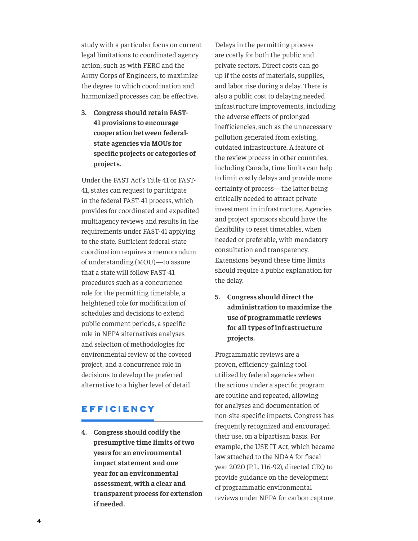study with a particular focus on current legal limitations to coordinated agency action, such as with FERC and the Army Corps of Engineers, to maximize the degree to which coordination and harmonized processes can be effective.

**3. Congress should retain FAST-41 provisions to encourage cooperation between federalstate agencies via MOUs for specific projects or categories of projects.**

Under the FAST Act's Title 41 or FAST-41, states can request to participate in the federal FAST-41 process, which provides for coordinated and expedited multiagency reviews and results in the requirements under FAST-41 applying to the state. Sufficient federal-state coordination requires a memorandum of understanding (MOU)—to assure that a state will follow FAST-41 procedures such as a concurrence role for the permitting timetable, a heightened role for modification of schedules and decisions to extend public comment periods, a specific role in NEPA alternatives analyses and selection of methodologies for environmental review of the covered project, and a concurrence role in decisions to develop the preferred alternative to a higher level of detail.

## EFFICIENCY

**4. Congress should codify the presumptive time limits of two years for an environmental impact statement and one year for an environmental assessment, with a clear and transparent process for extension if needed.**

Delays in the permitting process are costly for both the public and private sectors. Direct costs can go up if the costs of materials, supplies, and labor rise during a delay. There is also a public cost to delaying needed infrastructure improvements, including the adverse effects of prolonged inefficiencies, such as the unnecessary pollution generated from existing, outdated infrastructure. A feature of the review process in other countries, including Canada, time limits can help to limit costly delays and provide more certainty of process—the latter being critically needed to attract private investment in infrastructure. Agencies and project sponsors should have the flexibility to reset timetables, when needed or preferable, with mandatory consultation and transparency. Extensions beyond these time limits should require a public explanation for the delay.

**5. Congress should direct the administration to maximize the use of programmatic reviews for all types of infrastructure projects.**

Programmatic reviews are a proven, efficiency-gaining tool utilized by federal agencies when the actions under a specific program are routine and repeated, allowing for analyses and documentation of non-site-specific impacts. Congress has frequently recognized and encouraged their use, on a bipartisan basis. For example, the USE IT Act, which became law attached to the NDAA for fiscal year 2020 (P.L. 116-92), directed CEQ to provide guidance on the development of programmatic environmental reviews under NEPA for carbon capture,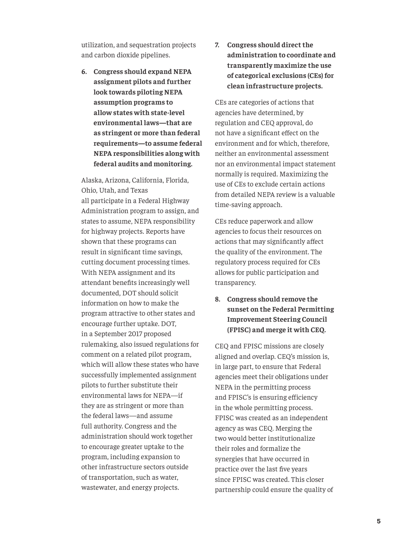utilization, and sequestration projects and carbon dioxide pipelines.

**6. Congress should expand NEPA assignment pilots and further look towards piloting NEPA assumption programs to allow states with state-level environmental laws—that are as stringent or more than federal requirements—to assume federal NEPA responsibilities along with federal audits and monitoring.**

Alaska, Arizona, California, Florida, Ohio, Utah, and Texas all participate in a Federal Highway Administration program to assign, and states to assume, NEPA responsibility for highway projects. Reports have shown that these programs can result in significant time savings, cutting document processing times. With NEPA assignment and its attendant benefits increasingly well documented, DOT should solicit information on how to make the program attractive to other states and encourage further uptake. DOT, in a September 2017 proposed rulemaking, also issued regulations for comment on a related pilot program, which will allow these states who have successfully implemented assignment pilots to further substitute their environmental laws for NEPA—if they are as stringent or more than the federal laws—and assume full authority. Congress and the administration should work together to encourage greater uptake to the program, including expansion to other infrastructure sectors outside of transportation, such as water, wastewater, and energy projects.

**7. Congress should direct the administration to coordinate and transparently maximize the use of categorical exclusions (CEs) for clean infrastructure projects.** 

CEs are categories of actions that agencies have determined, by regulation and CEQ approval, do not have a significant effect on the environment and for which, therefore, neither an environmental assessment nor an environmental impact statement normally is required. Maximizing the use of CEs to exclude certain actions from detailed NEPA review is a valuable time-saving approach.

CEs reduce paperwork and allow agencies to focus their resources on actions that may significantly affect the quality of the environment. The regulatory process required for CEs allows for public participation and transparency.

**8. Congress should remove the sunset on the Federal Permitting Improvement Steering Council (FPISC) and merge it with CEQ.**

CEQ and FPISC missions are closely aligned and overlap. CEQ's mission is, in large part, to ensure that Federal agencies meet their obligations under NEPA in the permitting process and FPISC's is ensuring efficiency in the whole permitting process. FPISC was created as an independent agency as was CEQ. Merging the two would better institutionalize their roles and formalize the synergies that have occurred in practice over the last five years since FPISC was created. This closer partnership could ensure the quality of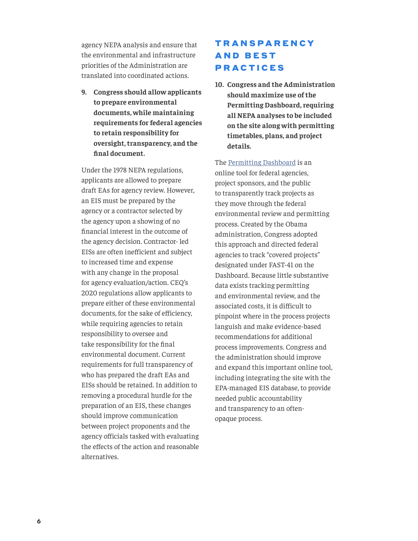agency NEPA analysis and ensure that the environmental and infrastructure priorities of the Administration are translated into coordinated actions.

**9. Congress should allow applicants to prepare environmental documents, while maintaining requirements for federal agencies to retain responsibility for oversight, transparency, and the final document.**

Under the 1978 NEPA regulations, applicants are allowed to prepare draft EAs for agency review. However, an EIS must be prepared by the agency or a contractor selected by the agency upon a showing of no financial interest in the outcome of the agency decision. Contractor- led EISs are often inefficient and subject to increased time and expense with any change in the proposal for agency evaluation/action. CEQ's 2020 regulations allow applicants to prepare either of these environmental documents, for the sake of efficiency, while requiring agencies to retain responsibility to oversee and take responsibility for the final environmental document. Current requirements for full transparency of who has prepared the draft EAs and EISs should be retained. In addition to removing a procedural hurdle for the preparation of an EIS, these changes should improve communication between project proponents and the agency officials tasked with evaluating the effects of the action and reasonable alternatives.

# **TRANSPARENCY AND BEST** PRACTICES

**10. Congress and the Administration should maximize use of the Permitting Dashboard, requiring all NEPA analyses to be included on the site along with permitting timetables, plans, and project details.**

The [Permitting Dashboard](https://www.permits.performance.gov/) is an online tool for federal agencies, project sponsors, and the public to transparently track projects as they move through the federal environmental review and permitting process. Created by the Obama administration, Congress adopted this approach and directed federal agencies to track "covered projects" designated under FAST-41 on the Dashboard. Because little substantive data exists tracking permitting and environmental review, and the associated costs, it is difficult to pinpoint where in the process projects languish and make evidence-based recommendations for additional process improvements. Congress and the administration should improve and expand this important online tool, including integrating the site with the EPA-managed EIS database, to provide needed public accountability and transparency to an oftenopaque process.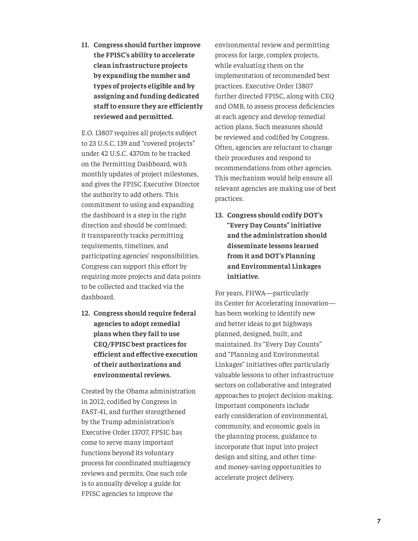**11. Congress should further improve the FPISC's ability to accelerate clean infrastructure projects by expanding the number and types of projects eligible and by assigning and funding dedicated staff to ensure they are efficiently reviewed and permitted.**

E.O. 13807 requires all projects subject to 23 U.S.C. 139 and "covered projects" under 42 U.S.C. 4370m to be tracked on the Permitting Dashboard, with monthly updates of project milestones, and gives the FPISC Executive Director the authority to add others. This commitment to using and expanding the dashboard is a step in the right direction and should be continued; it transparently tracks permitting requirements, timelines, and participating agencies' responsibilities. Congress can support this effort by requiring more projects and data points to be collected and tracked via the dashboard.

**12. Congress should require federal agencies to adopt remedial plans when they fail to use CEQ/FPISC best practices for efficient and effective execution of their authorizations and environmental reviews.**

Created by the Obama administration in 2012, codified by Congress in FAST-41, and further strengthened by the Trump administration's Executive Order 13707, FPSIC has come to serve many important functions beyond its voluntary process for coordinated multiagency reviews and permits. One such role is to annually develop a guide for FPISC agencies to improve the

environmental review and permitting process for large, complex projects, while evaluating them on the implementation of recommended best practices. Executive Order 13807 further directed FPISC, along with CEQ and OMB, to assess process deficiencies at each agency and develop remedial action plans. Such measures should be reviewed and codified by Congress. Often, agencies are reluctant to change their procedures and respond to recommendations from other agencies. This mechanism would help ensure all relevant agencies are making use of best practices.

**13. Congress should codify DOT's "Every Day Counts" initiative and the administration should disseminate lessons learned from it and DOT's Planning and Environmental Linkages initiative.** 

For years, FHWA—particularly its Center for Accelerating Innovation has been working to identify new and better ideas to get highways planned, designed, built, and maintained. Its "Every Day Counts" and "Planning and Environmental Linkages" initiatives offer particularly valuable lessons to other infrastructure sectors on collaborative and integrated approaches to project decision-making. Important components include early consideration of environmental, community, and economic goals in the planning process, guidance to incorporate that input into project design and siting, and other timeand money-saving opportunities to accelerate project delivery.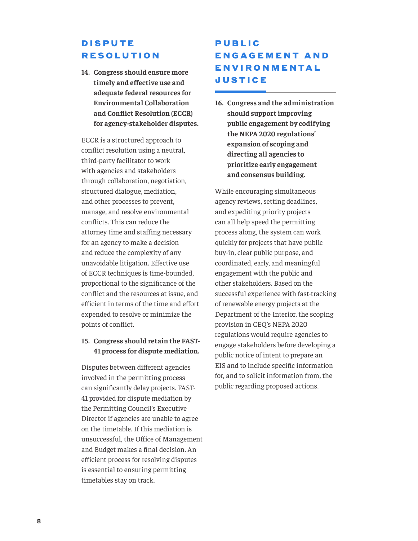# **DISPUTE** RESOLUTION

**14. Congress should ensure more timely and effective use and adequate federal resources for Environmental Collaboration and Conflict Resolution (ECCR) for agency-stakeholder disputes.**

ECCR is a structured approach to conflict resolution using a neutral, third-party facilitator to work with agencies and stakeholders through collaboration, negotiation, structured dialogue, mediation, and other processes to prevent, manage, and resolve environmental conflicts. This can reduce the attorney time and staffing necessary for an agency to make a decision and reduce the complexity of any unavoidable litigation. Effective use of ECCR techniques is time-bounded, proportional to the significance of the conflict and the resources at issue, and efficient in terms of the time and effort expended to resolve or minimize the points of conflict.

#### **15. Congress should retain the FAST-41 process for dispute mediation.**

Disputes between different agencies involved in the permitting process can significantly delay projects. FAST-41 provided for dispute mediation by the Permitting Council's Executive Director if agencies are unable to agree on the timetable. If this mediation is unsuccessful, the Office of Management and Budget makes a final decision. An efficient process for resolving disputes is essential to ensuring permitting timetables stay on track.

# **PUBLIC** ENGAGEMENT AND **ENVIRONMENTAL JUSTICE**

**16. Congress and the administration should support improving public engagement by codifying the NEPA 2020 regulations' expansion of scoping and directing all agencies to prioritize early engagement and consensus building.**

While encouraging simultaneous agency reviews, setting deadlines, and expediting priority projects can all help speed the permitting process along, the system can work quickly for projects that have public buy-in, clear public purpose, and coordinated, early, and meaningful engagement with the public and other stakeholders. Based on the successful experience with fast-tracking of renewable energy projects at the Department of the Interior, the scoping provision in CEQ's NEPA 2020 regulations would require agencies to engage stakeholders before developing a public notice of intent to prepare an EIS and to include specific information for, and to solicit information from, the public regarding proposed actions.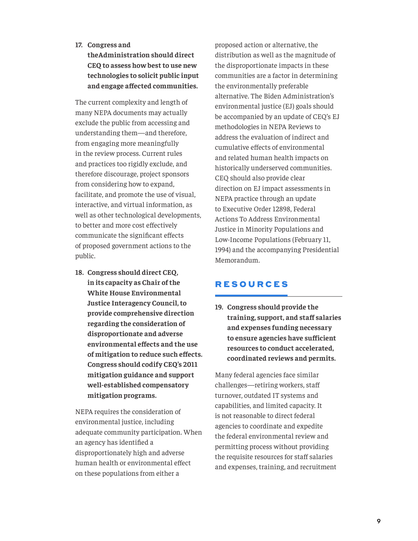#### **17. Congress and**

**theAdministration should direct CEQ to assess how best to use new technologies to solicit public input and engage affected communities.** 

The current complexity and length of many NEPA documents may actually exclude the public from accessing and understanding them—and therefore, from engaging more meaningfully in the review process. Current rules and practices too rigidly exclude, and therefore discourage, project sponsors from considering how to expand, facilitate, and promote the use of visual, interactive, and virtual information, as well as other technological developments, to better and more cost effectively communicate the significant effects of proposed government actions to the public.

**18. Congress should direct CEQ, in its capacity as Chair of the White House Environmental Justice Interagency Council, to provide comprehensive direction regarding the consideration of disproportionate and adverse environmental effects and the use of mitigation to reduce such effects. Congress should codify CEQ's 2011 mitigation guidance and support well-established compensatory mitigation programs.**

NEPA requires the consideration of environmental justice, including adequate community participation. When an agency has identified a disproportionately high and adverse human health or environmental effect on these populations from either a

proposed action or alternative, the distribution as well as the magnitude of the disproportionate impacts in these communities are a factor in determining the environmentally preferable alternative. The Biden Administration's environmental justice (EJ) goals should be accompanied by an update of CEQ's EJ methodologies in NEPA Reviews to address the evaluation of indirect and cumulative effects of environmental and related human health impacts on historically underserved communities. CEQ should also provide clear direction on EJ impact assessments in NEPA practice through an update to Executive Order 12898, Federal Actions To Address Environmental Justice in Minority Populations and Low-Income Populations (February 11, 1994) and the accompanying Presidential Memorandum.

## RESOURCES

**19. Congress should provide the training, support, and staff salaries and expenses funding necessary to ensure agencies have sufficient resources to conduct accelerated, coordinated reviews and permits.**

Many federal agencies face similar challenges—retiring workers, staff turnover, outdated IT systems and capabilities, and limited capacity. It is not reasonable to direct federal agencies to coordinate and expedite the federal environmental review and permitting process without providing the requisite resources for staff salaries and expenses, training, and recruitment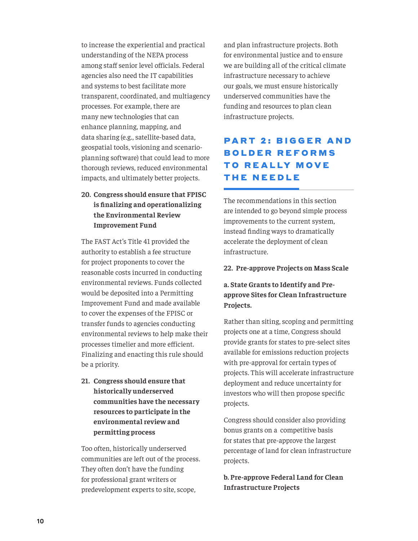to increase the experiential and practical understanding of the NEPA process among staff senior level officials. Federal agencies also need the IT capabilities and systems to best facilitate more transparent, coordinated, and multiagency processes. For example, there are many new technologies that can enhance planning, mapping, and data sharing (e.g., satellite-based data, geospatial tools, visioning and scenarioplanning software) that could lead to more thorough reviews, reduced environmental impacts, and ultimately better projects.

## **20. Congress should ensure that FPISC is finalizing and operationalizing the Environmental Review Improvement Fund**

The FAST Act's Title 41 provided the authority to establish a fee structure for project proponents to cover the reasonable costs incurred in conducting environmental reviews. Funds collected would be deposited into a Permitting Improvement Fund and made available to cover the expenses of the FPISC or transfer funds to agencies conducting environmental reviews to help make their processes timelier and more efficient. Finalizing and enacting this rule should be a priority.

**21. Congress should ensure that historically underserved communities have the necessary resources to participate in the environmental review and permitting process**

Too often, historically underserved communities are left out of the process. They often don't have the funding for professional grant writers or predevelopment experts to site, scope,

and plan infrastructure projects. Both for environmental justice and to ensure we are building all of the critical climate infrastructure necessary to achieve our goals, we must ensure historically underserved communities have the funding and resources to plan clean infrastructure projects.

# **PART 2: BIGGER AND BOLDER REFORMS TO REALLY MOVE** THE NEEDLE

The recommendations in this section are intended to go beyond simple process improvements to the current system, instead finding ways to dramatically accelerate the deployment of clean infrastructure.

#### **22. Pre-approve Projects on Mass Scale**

## **a. State Grants to Identify and Preapprove Sites for Clean Infrastructure Projects.**

Rather than siting, scoping and permitting projects one at a time, Congress should provide grants for states to pre-select sites available for emissions reduction projects with pre-approval for certain types of projects. This will accelerate infrastructure deployment and reduce uncertainty for investors who will then propose specific projects.

Congress should consider also providing bonus grants on a competitive basis for states that pre-approve the largest percentage of land for clean infrastructure projects.

**b. Pre-approve Federal Land for Clean Infrastructure Projects**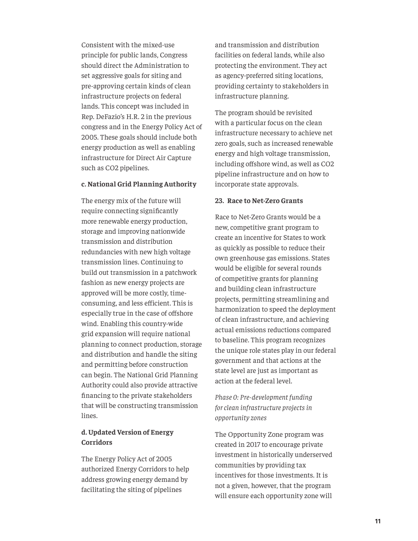Consistent with the mixed-use principle for public lands, Congress should direct the Administration to set aggressive goals for siting and pre-approving certain kinds of clean infrastructure projects on federal lands. This concept was included in Rep. DeFazio's H.R. 2 in the previous congress and in the Energy Policy Act of 2005. These goals should include both energy production as well as enabling infrastructure for Direct Air Capture such as CO2 pipelines.

#### **c. National Grid Planning Authority**

The energy mix of the future will require connecting significantly more renewable energy production, storage and improving nationwide transmission and distribution redundancies with new high voltage transmission lines. Continuing to build out transmission in a patchwork fashion as new energy projects are approved will be more costly, timeconsuming, and less efficient. This is especially true in the case of offshore wind. Enabling this country-wide grid expansion will require national planning to connect production, storage and distribution and handle the siting and permitting before construction can begin. The National Grid Planning Authority could also provide attractive financing to the private stakeholders that will be constructing transmission lines.

#### **d. Updated Version of Energy Corridors**

The Energy Policy Act of 2005 authorized Energy Corridors to help address growing energy demand by facilitating the siting of pipelines

and transmission and distribution facilities on federal lands, while also protecting the environment. They act as agency-preferred siting locations, providing certainty to stakeholders in infrastructure planning.

The program should be revisited with a particular focus on the clean infrastructure necessary to achieve net zero goals, such as increased renewable energy and high voltage transmission, including offshore wind, as well as CO2 pipeline infrastructure and on how to incorporate state approvals.

#### **23. Race to Net-Zero Grants**

Race to Net-Zero Grants would be a new, competitive grant program to create an incentive for States to work as quickly as possible to reduce their own greenhouse gas emissions. States would be eligible for several rounds of competitive grants for planning and building clean infrastructure projects, permitting streamlining and harmonization to speed the deployment of clean infrastructure, and achieving actual emissions reductions compared to baseline. This program recognizes the unique role states play in our federal government and that actions at the state level are just as important as action at the federal level.

## *Phase 0: Pre-development funding for clean infrastructure projects in opportunity zones*

The Opportunity Zone program was created in 2017 to encourage private investment in historically underserved communities by providing tax incentives for those investments. It is not a given, however, that the program will ensure each opportunity zone will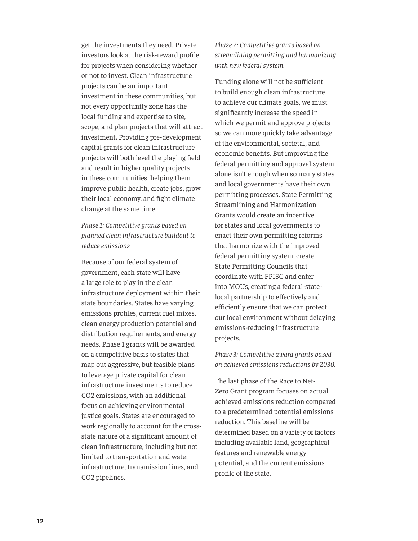get the investments they need. Private investors look at the risk-reward profile for projects when considering whether or not to invest. Clean infrastructure projects can be an important investment in these communities, but not every opportunity zone has the local funding and expertise to site, scope, and plan projects that will attract investment. Providing pre-development capital grants for clean infrastructure projects will both level the playing field and result in higher quality projects in these communities, helping them improve public health, create jobs, grow their local economy, and fight climate change at the same time.

*Phase 1: Competitive grants based on planned clean infrastructure buildout to reduce emissions*

Because of our federal system of government, each state will have a large role to play in the clean infrastructure deployment within their state boundaries. States have varying emissions profiles, current fuel mixes, clean energy production potential and distribution requirements, and energy needs. Phase 1 grants will be awarded on a competitive basis to states that map out aggressive, but feasible plans to leverage private capital for clean infrastructure investments to reduce CO2 emissions, with an additional focus on achieving environmental justice goals. States are encouraged to work regionally to account for the crossstate nature of a significant amount of clean infrastructure, including but not limited to transportation and water infrastructure, transmission lines, and CO2 pipelines.

*Phase 2: Competitive grants based on streamlining permitting and harmonizing with new federal system.*

Funding alone will not be sufficient to build enough clean infrastructure to achieve our climate goals, we must significantly increase the speed in which we permit and approve projects so we can more quickly take advantage of the environmental, societal, and economic benefits. But improving the federal permitting and approval system alone isn't enough when so many states and local governments have their own permitting processes. State Permitting Streamlining and Harmonization Grants would create an incentive for states and local governments to enact their own permitting reforms that harmonize with the improved federal permitting system, create State Permitting Councils that coordinate with FPISC and enter into MOUs, creating a federal-statelocal partnership to effectively and efficiently ensure that we can protect our local environment without delaying emissions-reducing infrastructure projects.

*Phase 3: Competitive award grants based on achieved emissions reductions by 2030.*

The last phase of the Race to Net-Zero Grant program focuses on actual achieved emissions reduction compared to a predetermined potential emissions reduction. This baseline will be determined based on a variety of factors including available land, geographical features and renewable energy potential, and the current emissions profile of the state.